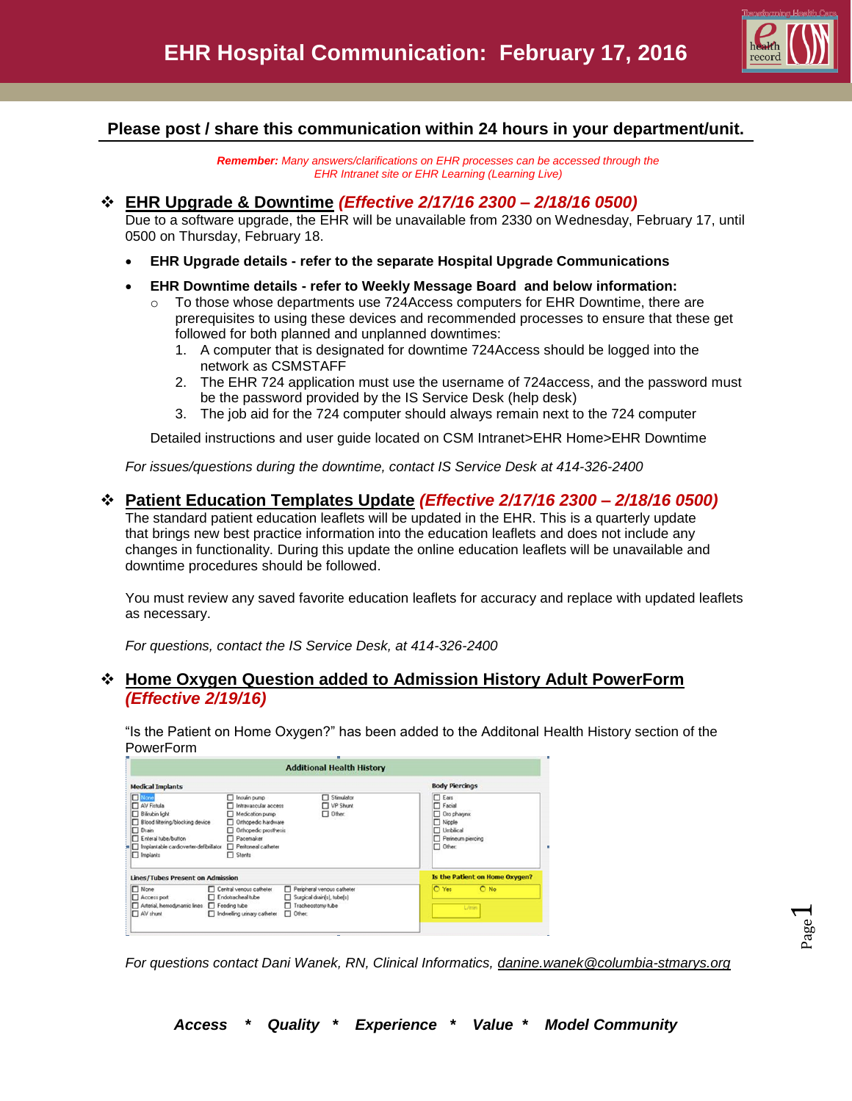

## **Please post / share this communication within 24 hours in your department/unit.**

*Remember: Many answers/clarifications on EHR processes can be accessed through the EHR Intranet site or EHR Learning (Learning Live)*

### **EHR Upgrade & Downtime** *(Effective 2/17/16 2300 – 2/18/16 0500)*

Due to a software upgrade, the EHR will be unavailable from 2330 on Wednesday, February 17, until 0500 on Thursday, February 18.

- **EHR Upgrade details - refer to the separate Hospital Upgrade Communications**
- **EHR Downtime details - refer to Weekly Message Board and below information:**
	- $\circ$  To those whose departments use 724Access computers for EHR Downtime, there are prerequisites to using these devices and recommended processes to ensure that these get followed for both planned and unplanned downtimes:
		- 1. A computer that is designated for downtime 724Access should be logged into the network as CSMSTAFF
		- 2. The EHR 724 application must use the username of 724access, and the password must be the password provided by the IS Service Desk (help desk)
		- 3. The job aid for the 724 computer should always remain next to the 724 computer

Detailed instructions and user guide located on CSM Intranet>EHR Home>EHR Downtime

*For issues/questions during the downtime, contact IS Service Desk at 414-326-2400*

#### **Patient Education Templates Update** *(Effective 2/17/16 2300 – 2/18/16 0500)*

The standard patient education leaflets will be updated in the EHR. This is a quarterly update that brings new best practice information into the education leaflets and does not include any changes in functionality. During this update the online education leaflets will be unavailable and downtime procedures should be followed.

You must review any saved favorite education leaflets for accuracy and replace with updated leaflets as necessary.

*For questions, contact the IS Service Desk, at 414-326-2400*

### **Home Oxygen Question added to Admission History Adult PowerForm**  *(Effective 2/19/16)*

"Is the Patient on Home Oxygen?" has been added to the Additonal Health History section of the PowerForm

|                                                                                                                                                                                                                                                                                        | <b>Additional Health History</b>                                                                                                                                                                       |                                                                                                                |
|----------------------------------------------------------------------------------------------------------------------------------------------------------------------------------------------------------------------------------------------------------------------------------------|--------------------------------------------------------------------------------------------------------------------------------------------------------------------------------------------------------|----------------------------------------------------------------------------------------------------------------|
| <b>Medical Implants</b>                                                                                                                                                                                                                                                                |                                                                                                                                                                                                        | <b>Body Piercings</b>                                                                                          |
| None<br>AV Fistula<br>Bilirubin light<br>Blood filtering/blocking device<br>$\Box$ Drain<br>Enteral tube/button<br>Implantable cardioverter-defibrillator<br>Implants                                                                                                                  | Stimulator<br>Insulin pump<br>VP Shunt<br>Intravascular access<br>Other:<br>Medication pump<br>Orthopedic hardware<br>Orthopedic prosthesis<br><b>Pacemaker</b><br>Perkoneal catheter<br>$\Box$ Stents | $\Box$ Ears<br>$\Box$ Facial<br>Oro pharynx<br>$\Box$ Nipple<br>Umblical<br>Perineum piercing<br>$\Box$ Other: |
| <b>Lines/Tubes Present on Admission</b>                                                                                                                                                                                                                                                |                                                                                                                                                                                                        | Is the Patient on Home Oxygen?                                                                                 |
| $\Box$ None<br>Central venous catheter<br>Peripheral venous catheter<br>Endotracheal tube<br>Access port<br>Surgical drain(s), tube(s)<br>Arterial, hemodynamic lines   Feeding tube<br>Tracheostomy tube<br>$\Box$ Other:<br>Num <sup>1</sup> AV Shunt<br>Indwelling urinary catheter |                                                                                                                                                                                                        | O Yes<br>$O$ No<br><b>L/min</b>                                                                                |

*For questions contact Dani Wanek, RN, Clinical Informatics, [danine.wanek@columbia-stmarys.org](mailto:danine.wanek@columbia-stmarys.org)*

*Access \* Quality \* Experience \* Value \* Model Community*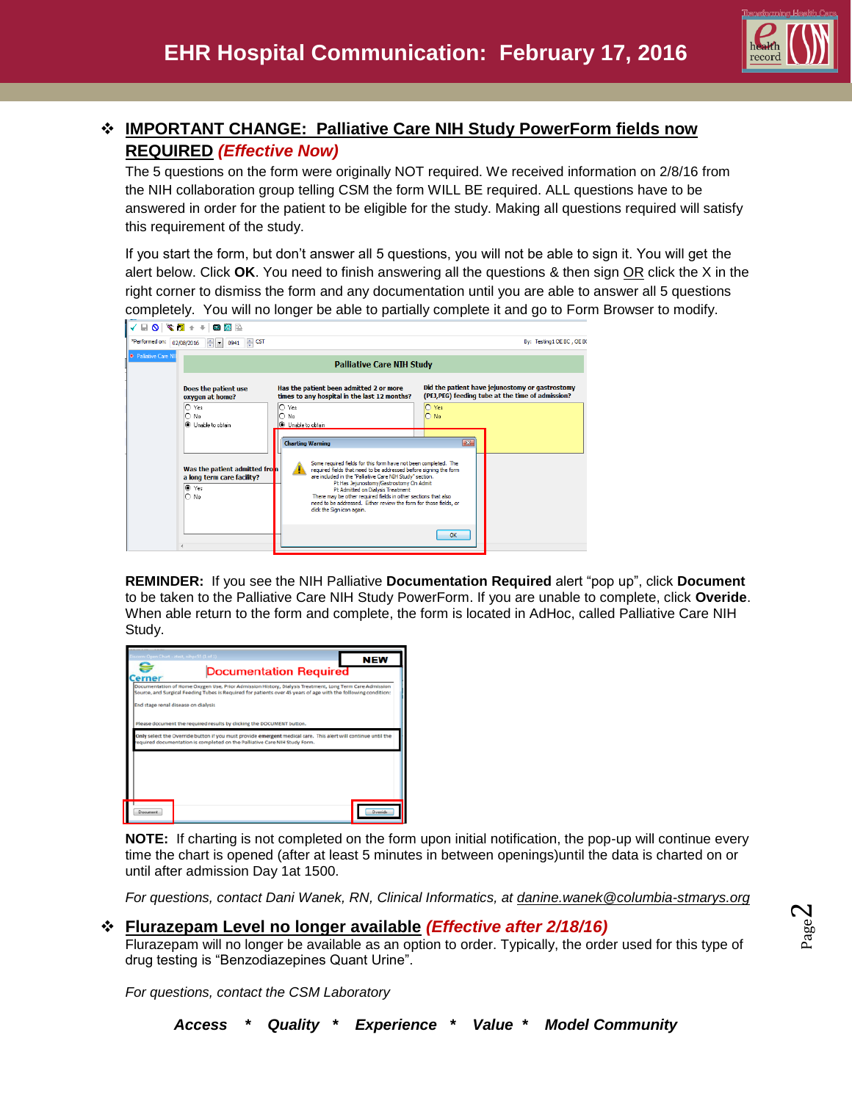

# **IMPORTANT CHANGE: Palliative Care NIH Study PowerForm fields now REQUIRED** *(Effective Now)*

The 5 questions on the form were originally NOT required. We received information on 2/8/16 from the NIH collaboration group telling CSM the form WILL BE required. ALL questions have to be answered in order for the patient to be eligible for the study. Making all questions required will satisfy this requirement of the study.

If you start the form, but don't answer all 5 questions, you will not be able to sign it. You will get the alert below. Click **OK**. You need to finish answering all the questions & then sign OR click the X in the right corner to dismiss the form and any documentation until you are able to answer all 5 questions completely. You will no longer be able to partially complete it and go to Form Browser to modify.

| $\blacksquare \; \blacksquare \; \blacksquare \; \blacksquare \; \blacksquare \; \blacksquare \; \blacksquare \; \blacksquare \; \blacksquare \; \blacksquare \; \blacksquare \; \blacksquare \; \blacksquare \; \blacksquare \; \blacksquare \; \blacksquare \; \blacksquare \; \blacksquare \; \blacksquare \; \blacksquare \; \blacksquare \; \blacksquare \; \blacksquare \; \blacksquare$ |                                                                                                                                                                                                                                                                                                                                                                                                                                                                                                        |                                                                                                                              |  |
|------------------------------------------------------------------------------------------------------------------------------------------------------------------------------------------------------------------------------------------------------------------------------------------------------------------------------------------------------------------------------------------------|--------------------------------------------------------------------------------------------------------------------------------------------------------------------------------------------------------------------------------------------------------------------------------------------------------------------------------------------------------------------------------------------------------------------------------------------------------------------------------------------------------|------------------------------------------------------------------------------------------------------------------------------|--|
| *Performed on:<br>$\Rightarrow$ CST<br>$\div$ $\bullet$ 0941<br>02/08/2016                                                                                                                                                                                                                                                                                                                     |                                                                                                                                                                                                                                                                                                                                                                                                                                                                                                        | By: Testing1 OE BC, OE BC                                                                                                    |  |
| <b>*</b> Palliative Care NII                                                                                                                                                                                                                                                                                                                                                                   | <b>Palliative Care NIH Study</b>                                                                                                                                                                                                                                                                                                                                                                                                                                                                       |                                                                                                                              |  |
| Does the patient use<br>oxygen at home?<br>$O$ Yes<br>$\bigcap$ No                                                                                                                                                                                                                                                                                                                             | Has the patient been admitted 2 or more<br>times to any hospital in the last 12 months?<br>$\circ$ Yes<br>lO.<br>No                                                                                                                                                                                                                                                                                                                                                                                    | Did the patient have jejunostomy or gastrostomy<br>(PEJ,PEG) feeding tube at the time of admission?<br>O Yes<br>$\bigcap$ No |  |
| <b>O</b> Unable to obtain<br>Was the patient admitted from<br>a long term care facility?<br>$\bullet$ Yes<br>$\bigcap$ No                                                                                                                                                                                                                                                                      | O Unable to obtain<br><b>Charting Warning</b><br>Some required fields for this form have not been completed. The<br>required fields that need to be addressed before signing the form<br>are included in the "Palliative Care NIH Study" section.<br>Pt Has Jeiunostomy/Gastrostomy On Admit<br>Pt Admitted on Dialysis Treatment<br>There may be other required fields in other sections that also<br>need to be addressed. Either review the form for those fields, or<br>click the Sign icon again. | $\mathbb{R}$                                                                                                                 |  |
|                                                                                                                                                                                                                                                                                                                                                                                                |                                                                                                                                                                                                                                                                                                                                                                                                                                                                                                        | OK                                                                                                                           |  |

**REMINDER:** If you see the NIH Palliative **Documentation Required** alert "pop up", click **Document**  to be taken to the Palliative Care NIH Study PowerForm. If you are unable to complete, click **Overide**. When able return to the form and complete, the form is located in AdHoc, called Palliative Care NIH Study.

|                                     | cern: Open Chart - ztest, nihpc55 (1 of 1)                                                                                                                                                                                |                               | <b>NEW</b>     |
|-------------------------------------|---------------------------------------------------------------------------------------------------------------------------------------------------------------------------------------------------------------------------|-------------------------------|----------------|
| erner                               |                                                                                                                                                                                                                           | <b>Documentation Required</b> |                |
|                                     | Documentation of Home Oxygen Use, Prior Admission History, Dialysis Treatment, Long Term Care Admission<br>Source, and Surgical Feeding Tubes is Required for patients over 45 years of age with the following condition: |                               |                |
| End stage renal disease on dialysis |                                                                                                                                                                                                                           |                               |                |
|                                     | Please document the required results by clicking the DOCUMENT button.                                                                                                                                                     |                               |                |
|                                     | Only select the Override button if you must provide emergent medical care. This alert will continue until the<br>equired documentation is completed on the Palliative Care NIH Study Form.                                |                               |                |
|                                     |                                                                                                                                                                                                                           |                               |                |
|                                     |                                                                                                                                                                                                                           |                               |                |
|                                     |                                                                                                                                                                                                                           |                               |                |
|                                     |                                                                                                                                                                                                                           |                               |                |
| <b>Document</b>                     |                                                                                                                                                                                                                           |                               | <b>Qvenide</b> |

**NOTE:** If charting is not completed on the form upon initial notification, the pop-up will continue every time the chart is opened (after at least 5 minutes in between openings)until the data is charted on or until after admission Day 1at 1500.

*For questions, contact Dani Wanek, RN, Clinical Informatics, at [danine.wanek@columbia-stmarys.org](mailto:danine.wanek@columbia-stmarys.org)*

### **Flurazepam Level no longer available** *(Effective after 2/18/16)*

Flurazepam will no longer be available as an option to order. Typically, the order used for this type of drug testing is "Benzodiazepines Quant Urine".

*For questions, contact the CSM Laboratory*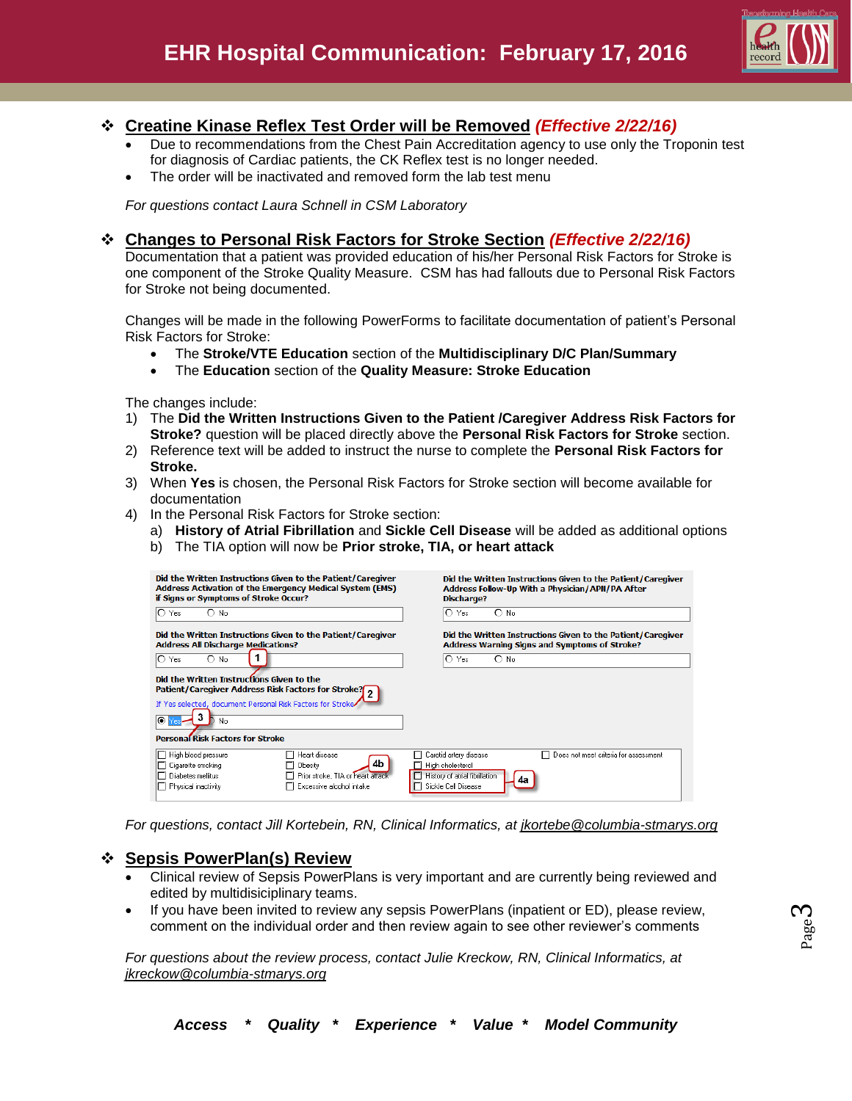

### **Creatine Kinase Reflex Test Order will be Removed** *(Effective 2/22/16)*

- Due to recommendations from the Chest Pain Accreditation agency to use only the Troponin test for diagnosis of Cardiac patients, the CK Reflex test is no longer needed.
- The order will be inactivated and removed form the lab test menu

*For questions contact Laura Schnell in CSM Laboratory*

### **Changes to Personal Risk Factors for Stroke Section** *(Effective 2/22/16)*

Documentation that a patient was provided education of his/her Personal Risk Factors for Stroke is one component of the Stroke Quality Measure. CSM has had fallouts due to Personal Risk Factors for Stroke not being documented.

Changes will be made in the following PowerForms to facilitate documentation of patient's Personal Risk Factors for Stroke:

- The **Stroke/VTE Education** section of the **Multidisciplinary D/C Plan/Summary**
- The **Education** section of the **Quality Measure: Stroke Education**

The changes include:

- 1) The **Did the Written Instructions Given to the Patient /Caregiver Address Risk Factors for Stroke?** question will be placed directly above the **Personal Risk Factors for Stroke** section.
- 2) Reference text will be added to instruct the nurse to complete the **Personal Risk Factors for Stroke.**
- 3) When **Yes** is chosen, the Personal Risk Factors for Stroke section will become available for documentation
- 4) In the Personal Risk Factors for Stroke section:
	- a) **History of Atrial Fibrillation** and **Sickle Cell Disease** will be added as additional options
	- b) The TIA option will now be **Prior stroke, TIA, or heart attack**

| Did the Written Instructions Given to the Patient/Caregiver                                                                                                                                                                           | Did the Written Instructions Given to the Patient/Caregiver                                                                                       |
|---------------------------------------------------------------------------------------------------------------------------------------------------------------------------------------------------------------------------------------|---------------------------------------------------------------------------------------------------------------------------------------------------|
| Address Activation of the Emergency Medical System (EMS)                                                                                                                                                                              | Address Follow-Up With a Physician/APN/PA After                                                                                                   |
| if Signs or Symptoms of Stroke Occur?                                                                                                                                                                                                 | Discharge?                                                                                                                                        |
| $\bigcirc$ No                                                                                                                                                                                                                         | റ                                                                                                                                                 |
| ∩                                                                                                                                                                                                                                     | $O$ No                                                                                                                                            |
| Yes                                                                                                                                                                                                                                   | Yes                                                                                                                                               |
| Did the Written Instructions Given to the Patient/Caregiver                                                                                                                                                                           | Did the Written Instructions Given to the Patient/Caregiver                                                                                       |
| <b>Address All Discharge Medications?</b>                                                                                                                                                                                             | <b>Address Warning Signs and Symptoms of Stroke?</b>                                                                                              |
| $\bigcap$ No.                                                                                                                                                                                                                         | റ                                                                                                                                                 |
| O                                                                                                                                                                                                                                     | $\bigcirc$ No.                                                                                                                                    |
| Yes                                                                                                                                                                                                                                   | Yes                                                                                                                                               |
| Did the Written Instructions Given to the<br>Patient/Caregiver Address Risk Factors for Stroke?<br>If Yes selected, document Personal Risk Factors for Stroke<br>◉<br>No<br><b>Personal Risk Factors for Stroke</b>                   |                                                                                                                                                   |
| High blood pressure<br>□ Heart disease<br>п<br>4b<br>Cigarette smoking<br>□ Obesitv<br>Diabetes mellitus<br>F Prior stroke, TIA or heart attack<br>п<br>$\overline{\phantom{a}}$ Excessive alcohol intake<br>Physical inactivity<br>п | Does not meet criteria for assessment<br>Carotid artery disease<br>П<br>High cholesterol<br>History of atrial fibrillation<br>Sickle Cell Disease |

*For questions, contact Jill Kortebein, RN, Clinical Informatics, at [jkortebe@columbia-stmarys.org](mailto:jkortebe@columbia-stmarys.org)*

#### **Sepsis PowerPlan(s) Review**

- Clinical review of Sepsis PowerPlans is very important and are currently being reviewed and edited by multidisiciplinary teams.
- If you have been invited to review any sepsis PowerPlans (inpatient or ED), please review, comment on the individual order and then review again to see other reviewer's comments

*For questions about the review process, contact Julie Kreckow, RN, Clinical Informatics, at jkreckow@columbia-stmarys.org*